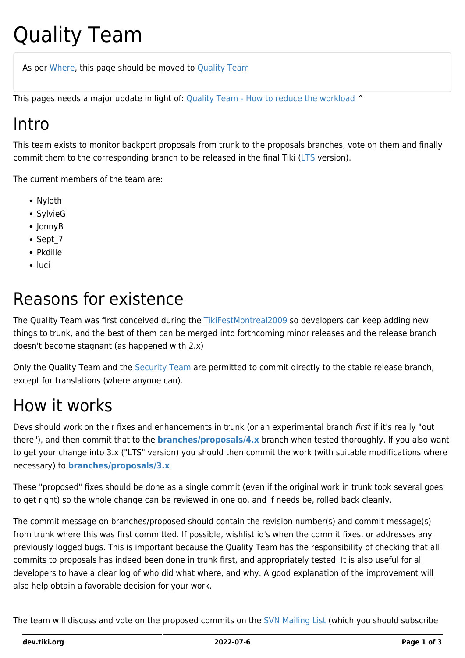# Quality Team

As per [Where,](http://tiki.org/Where) this page should be moved to [Quality Team](http://tiki.org/Quality%20Team)

This pages needs a major update in light of: [Quality Team - How to reduce the workload](https://dev.tiki.org/Quality-Team---How-to-reduce-the-workload) ^

## Intro

This team exists to monitor backport proposals from trunk to the proposals branches, vote on them and finally commit them to the corresponding branch to be released in the final Tiki ([LTS](https://dev.tiki.org/LTS) version).

The current members of the team are:

- Nyloth
- SylvieG
- JonnyB
- Sept 7
- Pkdille
- luci

## Reasons for existence

The Quality Team was first conceived during the [TikiFestMontreal2009](http://tiki.org/TikiFestMontreal2009) so developers can keep adding new things to trunk, and the best of them can be merged into forthcoming minor releases and the release branch doesn't become stagnant (as happened with 2.x)

Only the Quality Team and the [Security Team](http://tiki.org/Security%20Team) are permitted to commit directly to the stable release branch, except for translations (where anyone can).

## How it works

Devs should work on their fixes and enhancements in trunk (or an experimental branch first if it's really "out there"), and then commit that to the **[branches/proposals/4.x](http://tikiwiki.svn.sourceforge.net/viewvc/tikiwiki/branches/proposals/4.x/)** branch when tested thoroughly. If you also want to get your change into 3.x ("LTS" version) you should then commit the work (with suitable modifications where necessary) to **[branches/proposals/3.x](http://tikiwiki.svn.sourceforge.net/viewvc/tikiwiki/branches/proposals/3.x/)**

These "proposed" fixes should be done as a single commit (even if the original work in trunk took several goes to get right) so the whole change can be reviewed in one go, and if needs be, rolled back cleanly.

The commit message on branches/proposed should contain the revision number(s) and commit message(s) from trunk where this was first committed. If possible, wishlist id's when the commit fixes, or addresses any previously logged bugs. This is important because the Quality Team has the responsibility of checking that all commits to proposals has indeed been done in trunk first, and appropriately tested. It is also useful for all developers to have a clear log of who did what where, and why. A good explanation of the improvement will also help obtain a favorable decision for your work.

The team will discuss and vote on the proposed commits on the [SVN Mailing List](https://dev.tiki.org/SVN-Mailing-List) (which you should subscribe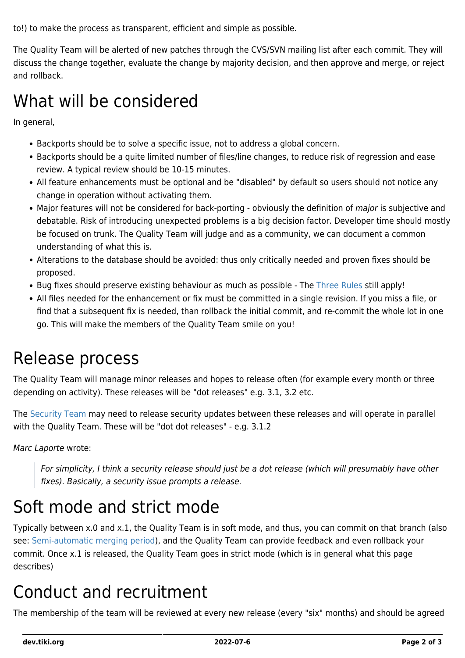to!) to make the process as transparent, efficient and simple as possible.

The Quality Team will be alerted of new patches through the CVS/SVN mailing list after each commit. They will discuss the change together, evaluate the change by majority decision, and then approve and merge, or reject and rollback.

#### What will be considered

In general,

- Backports should be to solve a specific issue, not to address a global concern.
- Backports should be a quite limited number of files/line changes, to reduce risk of regression and ease review. A typical review should be 10-15 minutes.
- All feature enhancements must be optional and be "disabled" by default so users should not notice any change in operation without activating them.
- Major features will not be considered for back-porting obviously the definition of major is subjective and debatable. Risk of introducing unexpected problems is a big decision factor. Developer time should mostly be focused on trunk. The Quality Team will judge and as a community, we can document a common understanding of what this is.
- Alterations to the database should be avoided: thus only critically needed and proven fixes should be proposed.
- Bug fixes should preserve existing behaviour as much as possible The [Three Rules](https://dev.tiki.org/3-Rules) still apply!
- All files needed for the enhancement or fix must be committed in a single revision. If you miss a file, or find that a subsequent fix is needed, than rollback the initial commit, and re-commit the whole lot in one go. This will make the members of the Quality Team smile on you!

#### Release process

The Quality Team will manage minor releases and hopes to release often (for example every month or three depending on activity). These releases will be "dot releases" e.g. 3.1, 3.2 etc.

The [Security Team](http://tiki.org/Security%20Team) may need to release security updates between these releases and will operate in parallel with the Quality Team. These will be "dot dot releases" - e.g. 3.1.2

Marc Laporte wrote:

For simplicity, I think a security release should just be a dot release (which will presumably have other fixes). Basically, a security issue prompts a release.

## Soft mode and strict mode

Typically between x.0 and x.1, the Quality Team is in soft mode, and thus, you can commit on that branch (also see: [Semi-automatic merging period](https://dev.tiki.org/Semi-automatic-merging-period)), and the Quality Team can provide feedback and even rollback your commit. Once x.1 is released, the Quality Team goes in strict mode (which is in general what this page describes)

## Conduct and recruitment

The membership of the team will be reviewed at every new release (every "six" months) and should be agreed